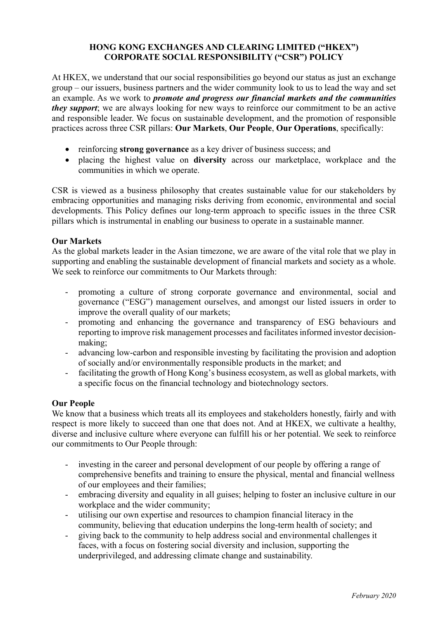## **HONG KONG EXCHANGES AND CLEARING LIMITED ("HKEX") CORPORATE SOCIAL RESPONSIBILITY ("CSR") POLICY**

At HKEX, we understand that our social responsibilities go beyond our status as just an exchange group – our issuers, business partners and the wider community look to us to lead the way and set an example. As we work to *promote and progress our financial markets and the communities they support*; we are always looking for new ways to reinforce our commitment to be an active and responsible leader. We focus on sustainable development, and the promotion of responsible practices across three CSR pillars: **Our Markets**, **Our People**, **Our Operations**, specifically:

- reinforcing **strong governance** as a key driver of business success; and
- placing the highest value on **diversity** across our marketplace, workplace and the communities in which we operate.

CSR is viewed as a business philosophy that creates sustainable value for our stakeholders by embracing opportunities and managing risks deriving from economic, environmental and social developments. This Policy defines our long-term approach to specific issues in the three CSR pillars which is instrumental in enabling our business to operate in a sustainable manner.

## **Our Markets**

As the global markets leader in the Asian timezone, we are aware of the vital role that we play in supporting and enabling the sustainable development of financial markets and society as a whole. We seek to reinforce our commitments to Our Markets through:

- promoting a culture of strong corporate governance and environmental, social and governance ("ESG") management ourselves, and amongst our listed issuers in order to improve the overall quality of our markets;
- promoting and enhancing the governance and transparency of ESG behaviours and reporting to improve risk management processes and facilitates informed investor decisionmaking;
- advancing low-carbon and responsible investing by facilitating the provision and adoption of socially and/or environmentally responsible products in the market; and
- facilitating the growth of Hong Kong's business ecosystem, as well as global markets, with a specific focus on the financial technology and biotechnology sectors.

## **Our People**

We know that a business which treats all its employees and stakeholders honestly, fairly and with respect is more likely to succeed than one that does not. And at HKEX, we cultivate a healthy, diverse and inclusive culture where everyone can fulfill his or her potential. We seek to reinforce our commitments to Our People through:

- investing in the career and personal development of our people by offering a range of comprehensive benefits and training to ensure the physical, mental and financial wellness of our employees and their families;
- embracing diversity and equality in all guises; helping to foster an inclusive culture in our workplace and the wider community;
- utilising our own expertise and resources to champion financial literacy in the community, believing that education underpins the long-term health of society; and
- giving back to the community to help address social and environmental challenges it faces, with a focus on fostering social diversity and inclusion, supporting the underprivileged, and addressing climate change and sustainability.